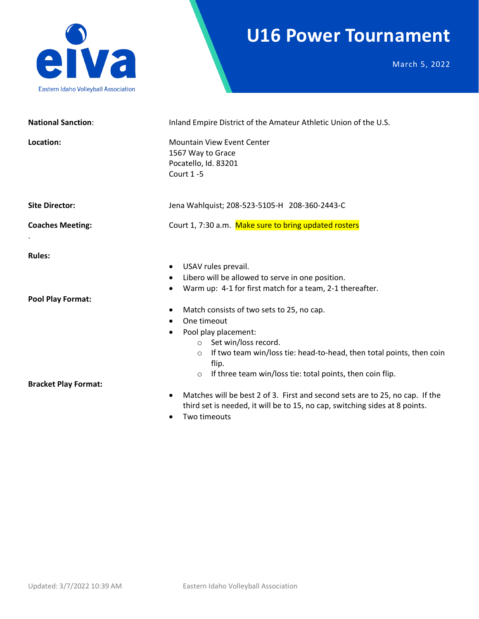

## **U16 Power Tournament**

March 5, 2022

| <b>National Sanction:</b>   | Inland Empire District of the Amateur Athletic Union of the U.S.                                                                                                                                                                                                                                                                                    |  |  |
|-----------------------------|-----------------------------------------------------------------------------------------------------------------------------------------------------------------------------------------------------------------------------------------------------------------------------------------------------------------------------------------------------|--|--|
| Location:                   | Mountain View Event Center<br>1567 Way to Grace<br>Pocatello, Id. 83201<br>Court 1-5                                                                                                                                                                                                                                                                |  |  |
| <b>Site Director:</b>       | Jena Wahlquist; 208-523-5105-H 208-360-2443-C                                                                                                                                                                                                                                                                                                       |  |  |
| <b>Coaches Meeting:</b>     | Court 1, 7:30 a.m. Make sure to bring updated rosters                                                                                                                                                                                                                                                                                               |  |  |
| <b>Rules:</b>               | USAV rules prevail.<br>Libero will be allowed to serve in one position.                                                                                                                                                                                                                                                                             |  |  |
| <b>Pool Play Format:</b>    | Warm up: 4-1 for first match for a team, 2-1 thereafter.<br>Match consists of two sets to 25, no cap.<br>One timeout<br>Pool play placement:<br>Set win/loss record.<br>$\circ$<br>If two team win/loss tie: head-to-head, then total points, then coin<br>$\circ$<br>flip.<br>If three team win/loss tie: total points, then coin flip.<br>$\circ$ |  |  |
| <b>Bracket Play Format:</b> | Matches will be best 2 of 3. First and second sets are to 25, no cap. If the<br>$\bullet$<br>third set is needed, it will be to 15, no cap, switching sides at 8 points.<br>Two timoouts                                                                                                                                                            |  |  |

• Two timeouts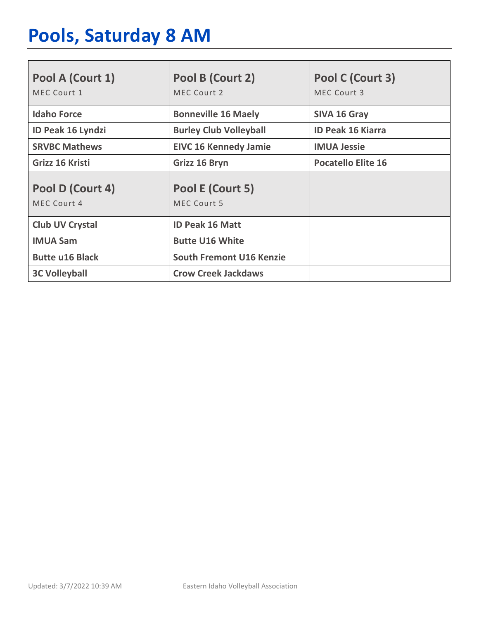# **Pools, Saturday 8 AM**

| Pool A (Court 1)<br>MEC Court 1 | Pool B (Court 2)<br>MEC Court 2        | Pool C (Court 3)<br>MEC Court 3 |
|---------------------------------|----------------------------------------|---------------------------------|
| <b>Idaho Force</b>              | <b>Bonneville 16 Maely</b>             | SIVA 16 Gray                    |
| <b>ID Peak 16 Lyndzi</b>        | <b>Burley Club Volleyball</b>          | <b>ID Peak 16 Kiarra</b>        |
| <b>SRVBC Mathews</b>            | <b>EIVC 16 Kennedy Jamie</b>           | <b>IMUA Jessie</b>              |
| Grizz 16 Kristi                 | Grizz 16 Bryn                          | <b>Pocatello Elite 16</b>       |
| Pool D (Court 4)<br>MEC Court 4 | Pool E (Court 5)<br><b>MEC Court 5</b> |                                 |
| <b>Club UV Crystal</b>          | <b>ID Peak 16 Matt</b>                 |                                 |
| <b>IMUA Sam</b>                 | <b>Butte U16 White</b>                 |                                 |
| <b>Butte u16 Black</b>          | <b>South Fremont U16 Kenzie</b>        |                                 |
| <b>3C Volleyball</b>            | <b>Crow Creek Jackdaws</b>             |                                 |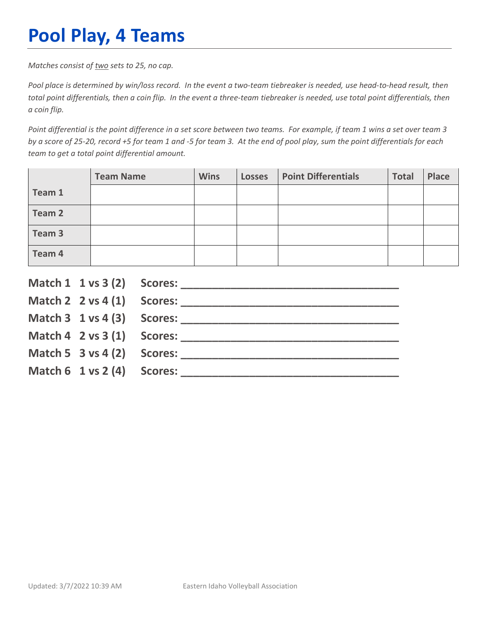## **Pool Play, 4 Teams**

*Matches consist of two sets to 25, no cap.*

*Pool place is determined by win/loss record. In the event a two-team tiebreaker is needed, use head-to-head result, then total point differentials, then a coin flip. In the event a three-team tiebreaker is needed, use total point differentials, then a coin flip.*

*Point differential is the point difference in a set score between two teams. For example, if team 1 wins a set over team 3 by a score of 25-20, record +5 for team 1 and -5 for team 3. At the end of pool play, sum the point differentials for each team to get a total point differential amount.* 

|        | <b>Team Name</b> | <b>Wins</b> | <b>Losses</b> | <b>Point Differentials</b> | <b>Total</b> | Place |
|--------|------------------|-------------|---------------|----------------------------|--------------|-------|
| Team 1 |                  |             |               |                            |              |       |
| Team 2 |                  |             |               |                            |              |       |
| Team 3 |                  |             |               |                            |              |       |
| Team 4 |                  |             |               |                            |              |       |

|                                        | Match $2 \times 4(1)$ Scores:              |
|----------------------------------------|--------------------------------------------|
|                                        |                                            |
|                                        | Match $4 \quad 2 \text{ vs } 3(1)$ Scores: |
| Match 5 $3$ vs 4 (2) Scores:           |                                            |
| Match $6 \t1 \text{ vs } 2(4)$ Scores: |                                            |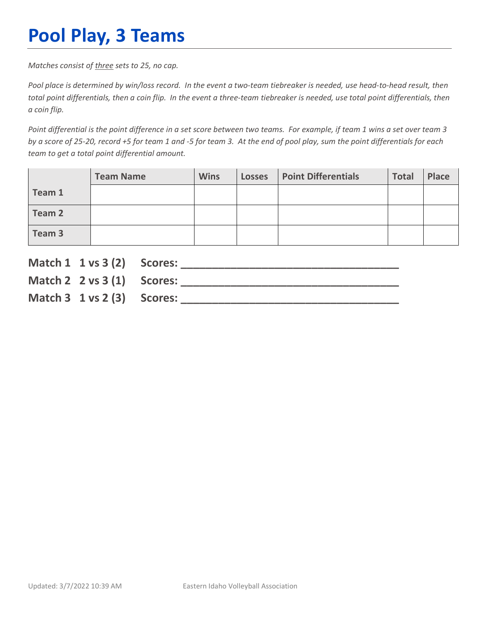## **Pool Play, 3 Teams**

*Matches consist of three sets to 25, no cap.*

*Pool place is determined by win/loss record. In the event a two-team tiebreaker is needed, use head-to-head result, then total point differentials, then a coin flip. In the event a three-team tiebreaker is needed, use total point differentials, then a coin flip.*

*Point differential is the point difference in a set score between two teams. For example, if team 1 wins a set over team 3 by a score of 25-20, record +5 for team 1 and -5 for team 3. At the end of pool play, sum the point differentials for each team to get a total point differential amount.* 

|        | <b>Team Name</b> | <b>Wins</b> | <b>Losses</b> | <b>Point Differentials</b> | <b>Total</b> | Place |
|--------|------------------|-------------|---------------|----------------------------|--------------|-------|
| Team 1 |                  |             |               |                            |              |       |
| Team 2 |                  |             |               |                            |              |       |
| Team 3 |                  |             |               |                            |              |       |

| Match 1 1 vs 3 (2) Scores:             |  |
|----------------------------------------|--|
| Match 2 $2 \text{ vs } 3(1)$ Scores:   |  |
| Match $3 \t1 \text{ vs } 2(3)$ Scores: |  |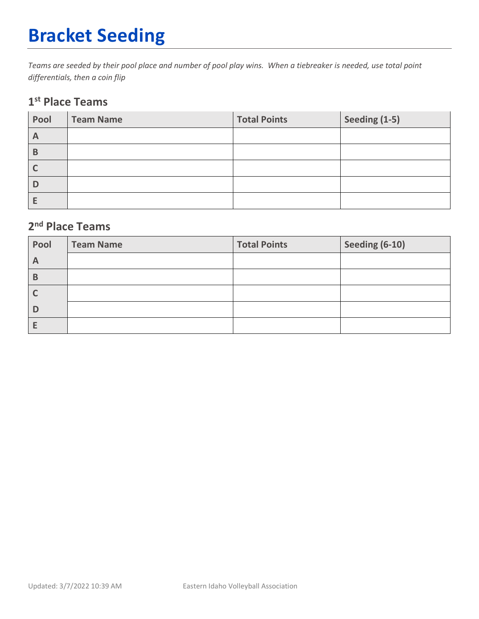## **Bracket Seeding**

*Teams are seeded by their pool place and number of pool play wins. When a tiebreaker is needed, use total point differentials, then a coin flip*

#### **1st Place Teams**

| Pool         | <b>Team Name</b> | <b>Total Points</b> | Seeding (1-5) |
|--------------|------------------|---------------------|---------------|
| $\mathsf{A}$ |                  |                     |               |
| B            |                  |                     |               |
|              |                  |                     |               |
| D            |                  |                     |               |
|              |                  |                     |               |

### **2nd Place Teams**

| Pool         | <b>Team Name</b> | <b>Total Points</b> | Seeding (6-10) |
|--------------|------------------|---------------------|----------------|
| $\mathsf{A}$ |                  |                     |                |
| В            |                  |                     |                |
|              |                  |                     |                |
|              |                  |                     |                |
|              |                  |                     |                |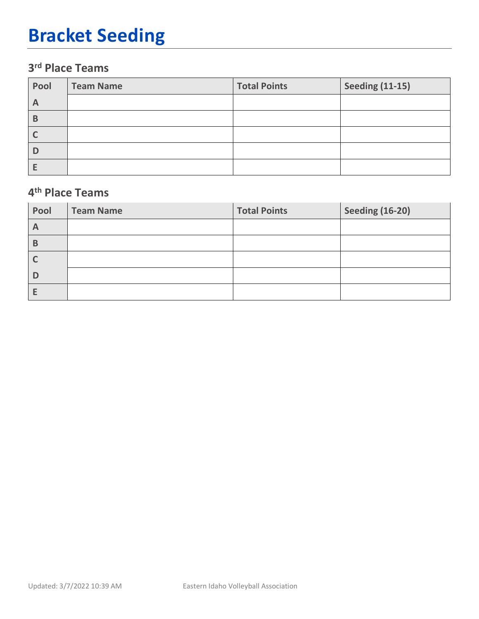## **Bracket Seeding**

### **3rd Place Teams**

| Pool | <b>Team Name</b> | <b>Total Points</b> | <b>Seeding (11-15)</b> |
|------|------------------|---------------------|------------------------|
| A    |                  |                     |                        |
| B    |                  |                     |                        |
|      |                  |                     |                        |
| D    |                  |                     |                        |
|      |                  |                     |                        |

#### **4th Place Teams**

| Pool         | <b>Team Name</b> | <b>Total Points</b> | <b>Seeding (16-20)</b> |
|--------------|------------------|---------------------|------------------------|
| $\mathsf{A}$ |                  |                     |                        |
| B            |                  |                     |                        |
|              |                  |                     |                        |
|              |                  |                     |                        |
|              |                  |                     |                        |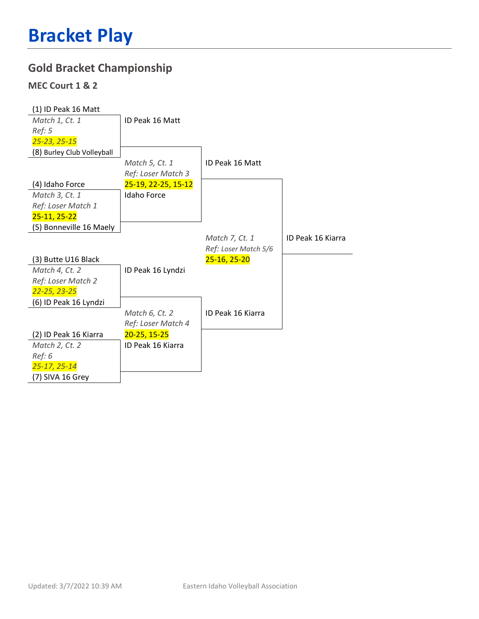### **Gold Bracket Championship**

#### **MEC Court 1 & 2**

| (1) ID Peak 16 Matt        |                     |                      |                   |
|----------------------------|---------------------|----------------------|-------------------|
| Match 1, Ct. 1             | ID Peak 16 Matt     |                      |                   |
| Ref: 5                     |                     |                      |                   |
| 25-23, 25-15               |                     |                      |                   |
| (8) Burley Club Volleyball |                     |                      |                   |
|                            | Match 5, Ct. 1      | ID Peak 16 Matt      |                   |
|                            | Ref: Loser Match 3  |                      |                   |
| (4) Idaho Force            | 25-19, 22-25, 15-12 |                      |                   |
| Match 3, Ct. 1             | <b>Idaho Force</b>  |                      |                   |
| Ref: Loser Match 1         |                     |                      |                   |
| 25-11, 25-22               |                     |                      |                   |
| (5) Bonneville 16 Maely    |                     |                      |                   |
|                            |                     | Match 7, Ct. 1       | ID Peak 16 Kiarra |
|                            |                     | Ref: Loser Match 5/6 |                   |
| (3) Butte U16 Black        |                     | 25-16, 25-20         |                   |
| Match 4, Ct. 2             | ID Peak 16 Lyndzi   |                      |                   |
| Ref: Loser Match 2         |                     |                      |                   |
| 22-25, 23-25               |                     |                      |                   |
| (6) ID Peak 16 Lyndzi      |                     |                      |                   |
|                            | Match 6, Ct. 2      | ID Peak 16 Kiarra    |                   |
|                            | Ref: Loser Match 4  |                      |                   |
| (2) ID Peak 16 Kiarra      | $20 - 25, 15 - 25$  |                      |                   |
| Match 2, Ct. 2             | ID Peak 16 Kiarra   |                      |                   |
| Ref: 6                     |                     |                      |                   |
| $25 - 17, 25 - 14$         |                     |                      |                   |
|                            |                     |                      |                   |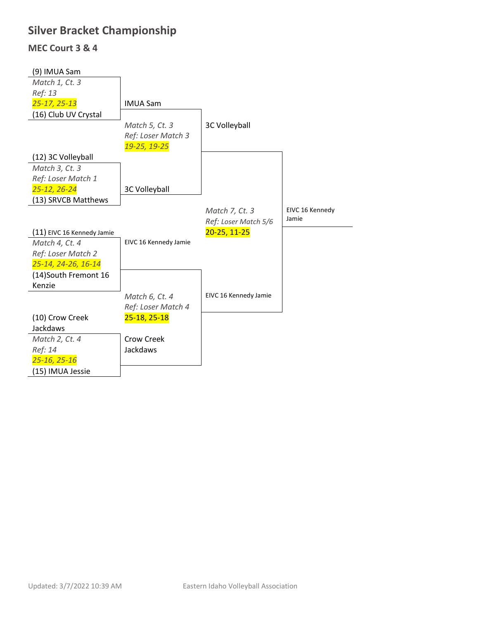### **Silver Bracket Championship**

#### **MEC Court 3 & 4**

| (9) IMUA Sam               |                       |                       |                 |
|----------------------------|-----------------------|-----------------------|-----------------|
| Match 1, Ct. 3             |                       |                       |                 |
| Ref: 13                    |                       |                       |                 |
| 25-17, 25-13               | <b>IMUA Sam</b>       |                       |                 |
| (16) Club UV Crystal       |                       |                       |                 |
|                            | Match 5, Ct. 3        | 3C Volleyball         |                 |
|                            | Ref: Loser Match 3    |                       |                 |
|                            | 19-25, 19-25          |                       |                 |
| (12) 3C Volleyball         |                       |                       |                 |
| Match 3, Ct. 3             |                       |                       |                 |
| Ref: Loser Match 1         |                       |                       |                 |
| 25-12, 26-24               | 3C Volleyball         |                       |                 |
| (13) SRVCB Matthews        |                       |                       |                 |
|                            |                       | Match 7, Ct. 3        | EIVC 16 Kennedy |
|                            |                       | Ref: Loser Match 5/6  | Jamie           |
| (11) EIVC 16 Kennedy Jamie |                       | 20-25, 11-25          |                 |
| Match 4, Ct. 4             | EIVC 16 Kennedy Jamie |                       |                 |
| Ref: Loser Match 2         |                       |                       |                 |
| 25-14, 24-26, 16-14        |                       |                       |                 |
| (14)South Fremont 16       |                       |                       |                 |
| Kenzie                     |                       |                       |                 |
|                            | Match 6, Ct. 4        | EIVC 16 Kennedy Jamie |                 |
|                            | Ref: Loser Match 4    |                       |                 |
| (10) Crow Creek            | 25-18, 25-18          |                       |                 |
| Jackdaws                   |                       |                       |                 |
| Match 2, Ct. 4             | Crow Creek            |                       |                 |
| Ref: 14                    | Jackdaws              |                       |                 |
| 25-16, 25-16               |                       |                       |                 |
| (15) IMUA Jessie           |                       |                       |                 |